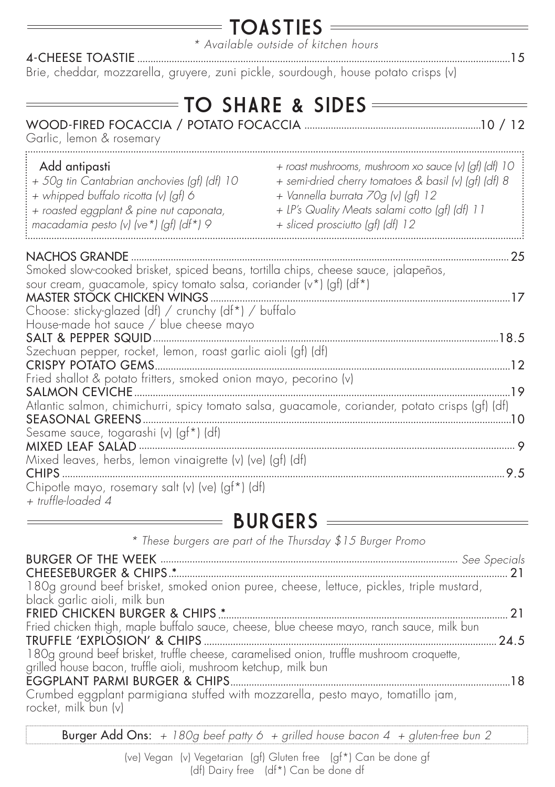#### **TOASTIES**

*\* Available outside of kitchen hours*

4-CHEESE TOASTIE 15 Brie, cheddar, mozzarella, gruyere, zuni pickle, sourdough, house potato crisps (v)

|  |  |  | TO SHARE & SIDES = |  |
|--|--|--|--------------------|--|
|  |  |  |                    |  |

| Garlic, lemon & rosemary                                                                                                                                                                                                                           |                                                                                                                                                                                                                                           |
|----------------------------------------------------------------------------------------------------------------------------------------------------------------------------------------------------------------------------------------------------|-------------------------------------------------------------------------------------------------------------------------------------------------------------------------------------------------------------------------------------------|
| Add antipasti<br>+ 50g tin Cantabrian anchovies (gf) (df) 10<br>+ whipped buffalo ricotta (v) (gf) 6<br>+ roasted eggplant & pine nut caponata,<br>macadamia pesto (v) (ve*) (gf) (df*) 9                                                          | + roast mushrooms, mushroom xo sauce (v) (gf) (df) 10<br>+ semi-dried cherry tomatoes & basil (v) (gf) (df) 8<br>+ Vannella burrata 70g (v) (gf) 12<br>+ LP's Quality Meats salami cotto (gf) (df) 11<br>+ sliced prosciutto (gf) (df) 12 |
| NACHOS GRANDE                                                                                                                                                                                                                                      | 25                                                                                                                                                                                                                                        |
| Smoked slow-cooked brisket, spiced beans, tortilla chips, cheese sauce, jalapeños,<br>sour cream, guacamole, spicy tomato salsa, coriander (v*) (gf) (df*)<br>MASTER STOCK CHICKEN WINGS .<br>Choose: sticky-glazed (df) / crunchy (df*) / buffalo | .17                                                                                                                                                                                                                                       |
| House-made hot sauce / blue cheese mayo                                                                                                                                                                                                            |                                                                                                                                                                                                                                           |
| Szechuan pepper, rocket, lemon, roast garlic aioli (gf) (df)                                                                                                                                                                                       |                                                                                                                                                                                                                                           |
| Fried shallot & potato fritters, smoked onion mayo, pecorino (v)                                                                                                                                                                                   |                                                                                                                                                                                                                                           |
| SALMON CEVICHE.<br>SEASONAL GREENS                                                                                                                                                                                                                 | 19<br>Atlantic salmon, chimichurri, spicy tomato salsa, guacamole, coriander, potato crisps (gf) (df)                                                                                                                                     |
| Sesame sauce, togarashi (v) (gf*) (df)                                                                                                                                                                                                             |                                                                                                                                                                                                                                           |
| Mixed leaves, herbs, lemon vinaigrette (v) (ve) (gf) (df)                                                                                                                                                                                          |                                                                                                                                                                                                                                           |
|                                                                                                                                                                                                                                                    |                                                                                                                                                                                                                                           |
| Chipotle mayo, rosemary salt (v) (ve) (gf*) (df)<br>+ truffle-loaded 4                                                                                                                                                                             |                                                                                                                                                                                                                                           |

#### BURGERS

BURGER OF THE WEEK **music metallicus** metallicus music music music music music see Specials CHEESEBURGER & CHIPS \* 21 180g ground beef brisket, smoked onion puree, cheese, lettuce, pickles, triple mustard, black garlic aioli, milk bun FRIED CHICKEN BURGER & CHIPS \* 21 Fried chicken thigh, maple buffalo sauce, cheese, blue cheese mayo, ranch sauce, milk bun TRUFFLE 'EXPLOSION' & CHIPS 24.5 180g ground beef brisket, truffle cheese, caramelised onion, truffle mushroom croquette, grilled house bacon, truffle aioli, mushroom ketchup, milk bun EGGPLANT PARMI BURGER & CHIPS 18 Crumbed eggplant parmigiana stuffed with mozzarella, pesto mayo, tomatillo jam, rocket, milk bun (v) *\* These burgers are part of the Thursday \$15 Burger Promo*

Burger Add Ons: *+ 180g beef patty 6 + grilled house bacon 4 + gluten-free bun 2*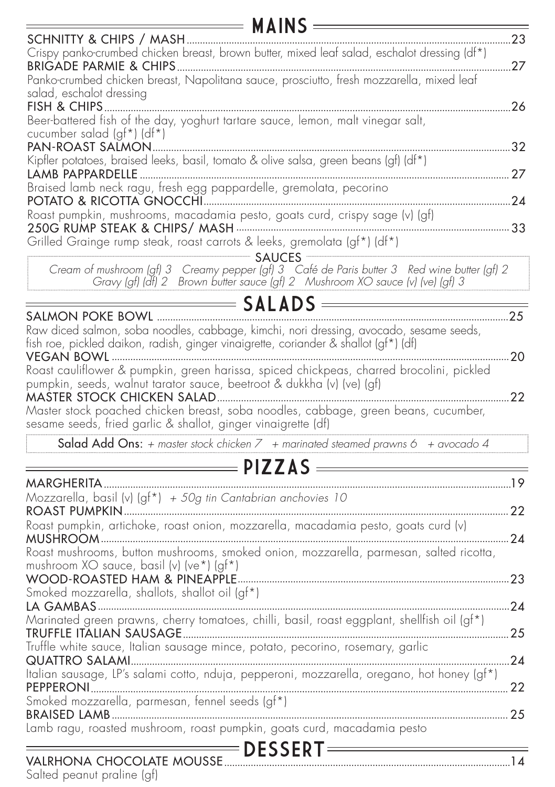| 23<br>Crispy panko-crumbed chicken breast, brown butter, mixed leaf salad, eschalot dressing (df*)<br>.27<br>Panko-crumbed chicken breast, Napolitana sauce, prosciutto, fresh mozzarella, mixed leaf<br>salad, eschalot dressing<br>FISH & CHIPS<br>.26<br>Beer-battered fish of the day, yoghurt tartare sauce, lemon, malt vinegar salt,<br>cucumber salad (gf*) (df*)<br>PAN-ROAST SALMON<br>Kipfler potatoes, braised leeks, basil, tomato & olive salsa, green beans (gf) (df*)<br>Braised lamb neck ragu, fresh egg pappardelle, gremolata, pecorino<br>Roast pumpkin, mushrooms, macadamia pesto, goats curd, crispy sage (v) (gf)<br>Grilled Grainge rump steak, roast carrots & leeks, gremolata (gf*) (df*)<br>Cream of mushroom (gf) 3 Creamy pepper (gf) 3 Café de Paris butter 3 Red wine butter (gf) 2<br>Gravy (gf) (df) 2 Brown butter sauce (gf) 2 Mushroom XO sauce (v) (ve) (gf) 3<br>$=$ <code>SALADS</code> =<br>SALMON POKE BOWL<br>Raw diced salmon, soba noodles, cabbage, kimchi, nori dressing, avocado, sesame seeds,<br>fish roe, pickled daikon, radish, ginger vinaigrette, coriander & shallot (gf*) (df)<br>20<br>Roast cauliflower & pumpkin, green harissa, spiced chickpeas, charred brocolini, pickled<br>pumpkin, seeds, walnut tarator sauce, beetroot & dukkha (v) (ve) (gf)<br>Master stock poached chicken breast, soba noodles, cabbage, green beans, cucumber,<br>sesame seeds, fried garlic & shallot, ginger vinaigrette (df)<br>Salad Add Ons: + master stock chicken $7 +$ marinated steamed prawns 6 + avocado 4<br>Mozzarella, basil (v) (gf*) + 50g tin Cantabrian anchovies 10<br>Roast pumpkin, artichoke, roast onion, mozzarella, macadamia pesto, goats curd (v)<br>Roast mushrooms, button mushrooms, smoked onion, mozzarella, parmesan, salted ricotta,<br>mushroom XO sauce, basil (v) (ve*) (gf*)<br>WOOD-ROASTED HAM & PINEAPPLE<br>Smoked mozzarella, shallots, shallot oil (gf*)<br>. 24<br>Marinated green prawns, cherry tomatoes, chilli, basil, roast eggplant, shellfish oil (gf*)<br>Truffle white sauce, Italian sausage mince, potato, pecorino, rosemary, garlic<br>Italian sausage, LP's salami cotto, nduja, pepperoni, mozzarella, oregano, hot honey (qf*)<br>Smoked mozzarella, parmesan, fennel seeds (gf*)<br>Lamb ragu, roasted mushroom, roast pumpkin, goats curd, macadamia pesto<br>VALRHONA CHOCOLATE MOUSSE | $MAINS =$               |  |
|----------------------------------------------------------------------------------------------------------------------------------------------------------------------------------------------------------------------------------------------------------------------------------------------------------------------------------------------------------------------------------------------------------------------------------------------------------------------------------------------------------------------------------------------------------------------------------------------------------------------------------------------------------------------------------------------------------------------------------------------------------------------------------------------------------------------------------------------------------------------------------------------------------------------------------------------------------------------------------------------------------------------------------------------------------------------------------------------------------------------------------------------------------------------------------------------------------------------------------------------------------------------------------------------------------------------------------------------------------------------------------------------------------------------------------------------------------------------------------------------------------------------------------------------------------------------------------------------------------------------------------------------------------------------------------------------------------------------------------------------------------------------------------------------------------------------------------------------------------------------------------------------------------------------------------------------------------------------------------------------------------------------------------------------------------------------------------------------------------------------------------------------------------------------------------------------------------------------------------------------------------------------------------------------------------------------------------------------------------------------------------------------------|-------------------------|--|
|                                                                                                                                                                                                                                                                                                                                                                                                                                                                                                                                                                                                                                                                                                                                                                                                                                                                                                                                                                                                                                                                                                                                                                                                                                                                                                                                                                                                                                                                                                                                                                                                                                                                                                                                                                                                                                                                                                                                                                                                                                                                                                                                                                                                                                                                                                                                                                                                    | SCHNITTY & CHIPS / MASH |  |
|                                                                                                                                                                                                                                                                                                                                                                                                                                                                                                                                                                                                                                                                                                                                                                                                                                                                                                                                                                                                                                                                                                                                                                                                                                                                                                                                                                                                                                                                                                                                                                                                                                                                                                                                                                                                                                                                                                                                                                                                                                                                                                                                                                                                                                                                                                                                                                                                    |                         |  |
|                                                                                                                                                                                                                                                                                                                                                                                                                                                                                                                                                                                                                                                                                                                                                                                                                                                                                                                                                                                                                                                                                                                                                                                                                                                                                                                                                                                                                                                                                                                                                                                                                                                                                                                                                                                                                                                                                                                                                                                                                                                                                                                                                                                                                                                                                                                                                                                                    |                         |  |
|                                                                                                                                                                                                                                                                                                                                                                                                                                                                                                                                                                                                                                                                                                                                                                                                                                                                                                                                                                                                                                                                                                                                                                                                                                                                                                                                                                                                                                                                                                                                                                                                                                                                                                                                                                                                                                                                                                                                                                                                                                                                                                                                                                                                                                                                                                                                                                                                    |                         |  |
|                                                                                                                                                                                                                                                                                                                                                                                                                                                                                                                                                                                                                                                                                                                                                                                                                                                                                                                                                                                                                                                                                                                                                                                                                                                                                                                                                                                                                                                                                                                                                                                                                                                                                                                                                                                                                                                                                                                                                                                                                                                                                                                                                                                                                                                                                                                                                                                                    |                         |  |
|                                                                                                                                                                                                                                                                                                                                                                                                                                                                                                                                                                                                                                                                                                                                                                                                                                                                                                                                                                                                                                                                                                                                                                                                                                                                                                                                                                                                                                                                                                                                                                                                                                                                                                                                                                                                                                                                                                                                                                                                                                                                                                                                                                                                                                                                                                                                                                                                    |                         |  |
|                                                                                                                                                                                                                                                                                                                                                                                                                                                                                                                                                                                                                                                                                                                                                                                                                                                                                                                                                                                                                                                                                                                                                                                                                                                                                                                                                                                                                                                                                                                                                                                                                                                                                                                                                                                                                                                                                                                                                                                                                                                                                                                                                                                                                                                                                                                                                                                                    |                         |  |
|                                                                                                                                                                                                                                                                                                                                                                                                                                                                                                                                                                                                                                                                                                                                                                                                                                                                                                                                                                                                                                                                                                                                                                                                                                                                                                                                                                                                                                                                                                                                                                                                                                                                                                                                                                                                                                                                                                                                                                                                                                                                                                                                                                                                                                                                                                                                                                                                    |                         |  |
|                                                                                                                                                                                                                                                                                                                                                                                                                                                                                                                                                                                                                                                                                                                                                                                                                                                                                                                                                                                                                                                                                                                                                                                                                                                                                                                                                                                                                                                                                                                                                                                                                                                                                                                                                                                                                                                                                                                                                                                                                                                                                                                                                                                                                                                                                                                                                                                                    |                         |  |
|                                                                                                                                                                                                                                                                                                                                                                                                                                                                                                                                                                                                                                                                                                                                                                                                                                                                                                                                                                                                                                                                                                                                                                                                                                                                                                                                                                                                                                                                                                                                                                                                                                                                                                                                                                                                                                                                                                                                                                                                                                                                                                                                                                                                                                                                                                                                                                                                    |                         |  |
|                                                                                                                                                                                                                                                                                                                                                                                                                                                                                                                                                                                                                                                                                                                                                                                                                                                                                                                                                                                                                                                                                                                                                                                                                                                                                                                                                                                                                                                                                                                                                                                                                                                                                                                                                                                                                                                                                                                                                                                                                                                                                                                                                                                                                                                                                                                                                                                                    |                         |  |
|                                                                                                                                                                                                                                                                                                                                                                                                                                                                                                                                                                                                                                                                                                                                                                                                                                                                                                                                                                                                                                                                                                                                                                                                                                                                                                                                                                                                                                                                                                                                                                                                                                                                                                                                                                                                                                                                                                                                                                                                                                                                                                                                                                                                                                                                                                                                                                                                    |                         |  |
|                                                                                                                                                                                                                                                                                                                                                                                                                                                                                                                                                                                                                                                                                                                                                                                                                                                                                                                                                                                                                                                                                                                                                                                                                                                                                                                                                                                                                                                                                                                                                                                                                                                                                                                                                                                                                                                                                                                                                                                                                                                                                                                                                                                                                                                                                                                                                                                                    |                         |  |
|                                                                                                                                                                                                                                                                                                                                                                                                                                                                                                                                                                                                                                                                                                                                                                                                                                                                                                                                                                                                                                                                                                                                                                                                                                                                                                                                                                                                                                                                                                                                                                                                                                                                                                                                                                                                                                                                                                                                                                                                                                                                                                                                                                                                                                                                                                                                                                                                    |                         |  |
|                                                                                                                                                                                                                                                                                                                                                                                                                                                                                                                                                                                                                                                                                                                                                                                                                                                                                                                                                                                                                                                                                                                                                                                                                                                                                                                                                                                                                                                                                                                                                                                                                                                                                                                                                                                                                                                                                                                                                                                                                                                                                                                                                                                                                                                                                                                                                                                                    |                         |  |
|                                                                                                                                                                                                                                                                                                                                                                                                                                                                                                                                                                                                                                                                                                                                                                                                                                                                                                                                                                                                                                                                                                                                                                                                                                                                                                                                                                                                                                                                                                                                                                                                                                                                                                                                                                                                                                                                                                                                                                                                                                                                                                                                                                                                                                                                                                                                                                                                    |                         |  |
|                                                                                                                                                                                                                                                                                                                                                                                                                                                                                                                                                                                                                                                                                                                                                                                                                                                                                                                                                                                                                                                                                                                                                                                                                                                                                                                                                                                                                                                                                                                                                                                                                                                                                                                                                                                                                                                                                                                                                                                                                                                                                                                                                                                                                                                                                                                                                                                                    |                         |  |
|                                                                                                                                                                                                                                                                                                                                                                                                                                                                                                                                                                                                                                                                                                                                                                                                                                                                                                                                                                                                                                                                                                                                                                                                                                                                                                                                                                                                                                                                                                                                                                                                                                                                                                                                                                                                                                                                                                                                                                                                                                                                                                                                                                                                                                                                                                                                                                                                    |                         |  |
|                                                                                                                                                                                                                                                                                                                                                                                                                                                                                                                                                                                                                                                                                                                                                                                                                                                                                                                                                                                                                                                                                                                                                                                                                                                                                                                                                                                                                                                                                                                                                                                                                                                                                                                                                                                                                                                                                                                                                                                                                                                                                                                                                                                                                                                                                                                                                                                                    |                         |  |
|                                                                                                                                                                                                                                                                                                                                                                                                                                                                                                                                                                                                                                                                                                                                                                                                                                                                                                                                                                                                                                                                                                                                                                                                                                                                                                                                                                                                                                                                                                                                                                                                                                                                                                                                                                                                                                                                                                                                                                                                                                                                                                                                                                                                                                                                                                                                                                                                    |                         |  |
|                                                                                                                                                                                                                                                                                                                                                                                                                                                                                                                                                                                                                                                                                                                                                                                                                                                                                                                                                                                                                                                                                                                                                                                                                                                                                                                                                                                                                                                                                                                                                                                                                                                                                                                                                                                                                                                                                                                                                                                                                                                                                                                                                                                                                                                                                                                                                                                                    |                         |  |
|                                                                                                                                                                                                                                                                                                                                                                                                                                                                                                                                                                                                                                                                                                                                                                                                                                                                                                                                                                                                                                                                                                                                                                                                                                                                                                                                                                                                                                                                                                                                                                                                                                                                                                                                                                                                                                                                                                                                                                                                                                                                                                                                                                                                                                                                                                                                                                                                    |                         |  |
|                                                                                                                                                                                                                                                                                                                                                                                                                                                                                                                                                                                                                                                                                                                                                                                                                                                                                                                                                                                                                                                                                                                                                                                                                                                                                                                                                                                                                                                                                                                                                                                                                                                                                                                                                                                                                                                                                                                                                                                                                                                                                                                                                                                                                                                                                                                                                                                                    |                         |  |
|                                                                                                                                                                                                                                                                                                                                                                                                                                                                                                                                                                                                                                                                                                                                                                                                                                                                                                                                                                                                                                                                                                                                                                                                                                                                                                                                                                                                                                                                                                                                                                                                                                                                                                                                                                                                                                                                                                                                                                                                                                                                                                                                                                                                                                                                                                                                                                                                    |                         |  |
|                                                                                                                                                                                                                                                                                                                                                                                                                                                                                                                                                                                                                                                                                                                                                                                                                                                                                                                                                                                                                                                                                                                                                                                                                                                                                                                                                                                                                                                                                                                                                                                                                                                                                                                                                                                                                                                                                                                                                                                                                                                                                                                                                                                                                                                                                                                                                                                                    |                         |  |
|                                                                                                                                                                                                                                                                                                                                                                                                                                                                                                                                                                                                                                                                                                                                                                                                                                                                                                                                                                                                                                                                                                                                                                                                                                                                                                                                                                                                                                                                                                                                                                                                                                                                                                                                                                                                                                                                                                                                                                                                                                                                                                                                                                                                                                                                                                                                                                                                    |                         |  |
|                                                                                                                                                                                                                                                                                                                                                                                                                                                                                                                                                                                                                                                                                                                                                                                                                                                                                                                                                                                                                                                                                                                                                                                                                                                                                                                                                                                                                                                                                                                                                                                                                                                                                                                                                                                                                                                                                                                                                                                                                                                                                                                                                                                                                                                                                                                                                                                                    |                         |  |
|                                                                                                                                                                                                                                                                                                                                                                                                                                                                                                                                                                                                                                                                                                                                                                                                                                                                                                                                                                                                                                                                                                                                                                                                                                                                                                                                                                                                                                                                                                                                                                                                                                                                                                                                                                                                                                                                                                                                                                                                                                                                                                                                                                                                                                                                                                                                                                                                    |                         |  |
|                                                                                                                                                                                                                                                                                                                                                                                                                                                                                                                                                                                                                                                                                                                                                                                                                                                                                                                                                                                                                                                                                                                                                                                                                                                                                                                                                                                                                                                                                                                                                                                                                                                                                                                                                                                                                                                                                                                                                                                                                                                                                                                                                                                                                                                                                                                                                                                                    |                         |  |
|                                                                                                                                                                                                                                                                                                                                                                                                                                                                                                                                                                                                                                                                                                                                                                                                                                                                                                                                                                                                                                                                                                                                                                                                                                                                                                                                                                                                                                                                                                                                                                                                                                                                                                                                                                                                                                                                                                                                                                                                                                                                                                                                                                                                                                                                                                                                                                                                    |                         |  |
|                                                                                                                                                                                                                                                                                                                                                                                                                                                                                                                                                                                                                                                                                                                                                                                                                                                                                                                                                                                                                                                                                                                                                                                                                                                                                                                                                                                                                                                                                                                                                                                                                                                                                                                                                                                                                                                                                                                                                                                                                                                                                                                                                                                                                                                                                                                                                                                                    |                         |  |
|                                                                                                                                                                                                                                                                                                                                                                                                                                                                                                                                                                                                                                                                                                                                                                                                                                                                                                                                                                                                                                                                                                                                                                                                                                                                                                                                                                                                                                                                                                                                                                                                                                                                                                                                                                                                                                                                                                                                                                                                                                                                                                                                                                                                                                                                                                                                                                                                    |                         |  |
|                                                                                                                                                                                                                                                                                                                                                                                                                                                                                                                                                                                                                                                                                                                                                                                                                                                                                                                                                                                                                                                                                                                                                                                                                                                                                                                                                                                                                                                                                                                                                                                                                                                                                                                                                                                                                                                                                                                                                                                                                                                                                                                                                                                                                                                                                                                                                                                                    |                         |  |
|                                                                                                                                                                                                                                                                                                                                                                                                                                                                                                                                                                                                                                                                                                                                                                                                                                                                                                                                                                                                                                                                                                                                                                                                                                                                                                                                                                                                                                                                                                                                                                                                                                                                                                                                                                                                                                                                                                                                                                                                                                                                                                                                                                                                                                                                                                                                                                                                    |                         |  |
|                                                                                                                                                                                                                                                                                                                                                                                                                                                                                                                                                                                                                                                                                                                                                                                                                                                                                                                                                                                                                                                                                                                                                                                                                                                                                                                                                                                                                                                                                                                                                                                                                                                                                                                                                                                                                                                                                                                                                                                                                                                                                                                                                                                                                                                                                                                                                                                                    |                         |  |
|                                                                                                                                                                                                                                                                                                                                                                                                                                                                                                                                                                                                                                                                                                                                                                                                                                                                                                                                                                                                                                                                                                                                                                                                                                                                                                                                                                                                                                                                                                                                                                                                                                                                                                                                                                                                                                                                                                                                                                                                                                                                                                                                                                                                                                                                                                                                                                                                    |                         |  |
|                                                                                                                                                                                                                                                                                                                                                                                                                                                                                                                                                                                                                                                                                                                                                                                                                                                                                                                                                                                                                                                                                                                                                                                                                                                                                                                                                                                                                                                                                                                                                                                                                                                                                                                                                                                                                                                                                                                                                                                                                                                                                                                                                                                                                                                                                                                                                                                                    |                         |  |
|                                                                                                                                                                                                                                                                                                                                                                                                                                                                                                                                                                                                                                                                                                                                                                                                                                                                                                                                                                                                                                                                                                                                                                                                                                                                                                                                                                                                                                                                                                                                                                                                                                                                                                                                                                                                                                                                                                                                                                                                                                                                                                                                                                                                                                                                                                                                                                                                    |                         |  |
|                                                                                                                                                                                                                                                                                                                                                                                                                                                                                                                                                                                                                                                                                                                                                                                                                                                                                                                                                                                                                                                                                                                                                                                                                                                                                                                                                                                                                                                                                                                                                                                                                                                                                                                                                                                                                                                                                                                                                                                                                                                                                                                                                                                                                                                                                                                                                                                                    |                         |  |
|                                                                                                                                                                                                                                                                                                                                                                                                                                                                                                                                                                                                                                                                                                                                                                                                                                                                                                                                                                                                                                                                                                                                                                                                                                                                                                                                                                                                                                                                                                                                                                                                                                                                                                                                                                                                                                                                                                                                                                                                                                                                                                                                                                                                                                                                                                                                                                                                    |                         |  |
|                                                                                                                                                                                                                                                                                                                                                                                                                                                                                                                                                                                                                                                                                                                                                                                                                                                                                                                                                                                                                                                                                                                                                                                                                                                                                                                                                                                                                                                                                                                                                                                                                                                                                                                                                                                                                                                                                                                                                                                                                                                                                                                                                                                                                                                                                                                                                                                                    |                         |  |
|                                                                                                                                                                                                                                                                                                                                                                                                                                                                                                                                                                                                                                                                                                                                                                                                                                                                                                                                                                                                                                                                                                                                                                                                                                                                                                                                                                                                                                                                                                                                                                                                                                                                                                                                                                                                                                                                                                                                                                                                                                                                                                                                                                                                                                                                                                                                                                                                    |                         |  |
|                                                                                                                                                                                                                                                                                                                                                                                                                                                                                                                                                                                                                                                                                                                                                                                                                                                                                                                                                                                                                                                                                                                                                                                                                                                                                                                                                                                                                                                                                                                                                                                                                                                                                                                                                                                                                                                                                                                                                                                                                                                                                                                                                                                                                                                                                                                                                                                                    |                         |  |
|                                                                                                                                                                                                                                                                                                                                                                                                                                                                                                                                                                                                                                                                                                                                                                                                                                                                                                                                                                                                                                                                                                                                                                                                                                                                                                                                                                                                                                                                                                                                                                                                                                                                                                                                                                                                                                                                                                                                                                                                                                                                                                                                                                                                                                                                                                                                                                                                    |                         |  |
|                                                                                                                                                                                                                                                                                                                                                                                                                                                                                                                                                                                                                                                                                                                                                                                                                                                                                                                                                                                                                                                                                                                                                                                                                                                                                                                                                                                                                                                                                                                                                                                                                                                                                                                                                                                                                                                                                                                                                                                                                                                                                                                                                                                                                                                                                                                                                                                                    |                         |  |
|                                                                                                                                                                                                                                                                                                                                                                                                                                                                                                                                                                                                                                                                                                                                                                                                                                                                                                                                                                                                                                                                                                                                                                                                                                                                                                                                                                                                                                                                                                                                                                                                                                                                                                                                                                                                                                                                                                                                                                                                                                                                                                                                                                                                                                                                                                                                                                                                    |                         |  |
|                                                                                                                                                                                                                                                                                                                                                                                                                                                                                                                                                                                                                                                                                                                                                                                                                                                                                                                                                                                                                                                                                                                                                                                                                                                                                                                                                                                                                                                                                                                                                                                                                                                                                                                                                                                                                                                                                                                                                                                                                                                                                                                                                                                                                                                                                                                                                                                                    |                         |  |
|                                                                                                                                                                                                                                                                                                                                                                                                                                                                                                                                                                                                                                                                                                                                                                                                                                                                                                                                                                                                                                                                                                                                                                                                                                                                                                                                                                                                                                                                                                                                                                                                                                                                                                                                                                                                                                                                                                                                                                                                                                                                                                                                                                                                                                                                                                                                                                                                    |                         |  |

Salted peanut praline (gf)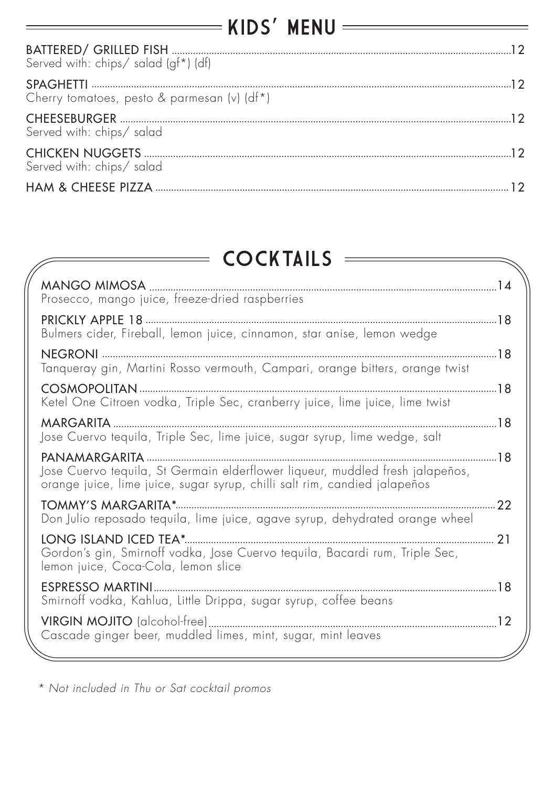| Served with: chips/ salad (gf*) (df)        |  |
|---------------------------------------------|--|
| Cherry tomatoes, pesto & parmesan (v) (df*) |  |
| Served with: chips/ salad                   |  |
| Served with: chips/ salad                   |  |
|                                             |  |

#### **COCKTAILS**

| MANGO MIMOSA<br>Prosecco, mango juice, freeze-dried raspberries                                                                                            |     |
|------------------------------------------------------------------------------------------------------------------------------------------------------------|-----|
|                                                                                                                                                            |     |
| Bulmers cider, Fireball, lemon juice, cinnamon, star anise, lemon wedge                                                                                    |     |
| Tanqueray gin, Martini Rosso vermouth, Campari, orange bitters, orange twist                                                                               |     |
|                                                                                                                                                            |     |
| Ketel One Citroen vodka, Triple Sec, cranberry juice, lime juice, lime twist                                                                               |     |
| MARGARITA                                                                                                                                                  |     |
| Jose Cuervo tequila, Triple Sec, lime juice, sugar syrup, lime wedge, salt                                                                                 |     |
|                                                                                                                                                            |     |
| Jose Cuervo tequila, St Germain elderflower liqueur, muddled fresh jalapeños,<br>orange juice, lime juice, sugar syrup, chilli salt rim, candied jalapeños |     |
|                                                                                                                                                            | .22 |
| Don Julio reposado tequila, lime juice, agave syrup, dehydrated orange wheel                                                                               |     |
| Gordon's gin, Smirnoff vodka, Jose Cuervo tequila, Bacardi rum, Triple Sec,<br>lemon juice, Coca-Cola, lemon slice                                         |     |
| Smirnoff vodka, Kahlua, Little Drippa, sugar syrup, coffee beans                                                                                           |     |
| Cascade ginger beer, muddled limes, mint, sugar, mint leaves                                                                                               |     |
|                                                                                                                                                            |     |

*\* Not included in Thu or Sat cocktail promos*

 $=$